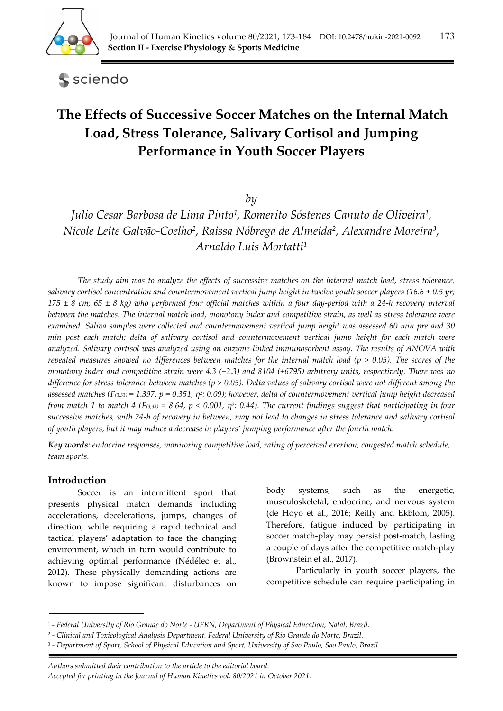

sciendo

# **The Effects of Successive Soccer Matches on the Internal Match Load, Stress Tolerance, Salivary Cortisol and Jumping Performance in Youth Soccer Players**

*by* 

*Julio Cesar Barbosa de Lima Pinto1, Romerito Sóstenes Canuto de Oliveira1, Nicole Leite Galvão-Coelho2, Raissa Nóbrega de Almeida2, Alexandre Moreira3, Arnaldo Luis Mortatti1*

*The study aim was to analyze the effects of successive matches on the internal match load, stress tolerance, salivary cortisol concentration and countermovement vertical jump height in twelve youth soccer players (16.6 ± 0.5 yr;*   $175 \pm 8$  cm;  $65 \pm 8$  kg) who performed four official matches within a four day-period with a 24-h recovery interval *between the matches. The internal match load, monotony index and competitive strain, as well as stress tolerance were examined. Saliva samples were collected and countermovement vertical jump height was assessed 60 min pre and 30 min post each match; delta of salivary cortisol and countermovement vertical jump height for each match were analyzed. Salivary cortisol was analyzed using an enzyme-linked immunosorbent assay. The results of ANOVA with repeated measures showed no differences between matches for the internal match load (p > 0.05). The scores of the monotony index and competitive strain were 4.3 (±2.3) and 8104 (±6795) arbitrary units, respectively. There was no difference for stress tolerance between matches (p > 0.05). Delta values of salivary cortisol were not different among the assessed matches (F(3,33) = 1.397, p = 0.351, η2: 0.09); however, delta of countermovement vertical jump height decreased from match 1 to match 4 (F(3,33) = 8.64, p < 0.001, η<sup>2</sup>: 0.44). The current findings suggest that participating in four successive matches, with 24-h of recovery in between, may not lead to changes in stress tolerance and salivary cortisol of youth players, but it may induce a decrease in players' jumping performance after the fourth match.* 

*Key words: endocrine responses, monitoring competitive load, rating of perceived exertion, congested match schedule, team sports.* 

# **Introduction**

Soccer is an intermittent sport that presents physical match demands including accelerations, decelerations, jumps, changes of direction, while requiring a rapid technical and tactical players' adaptation to face the changing environment, which in turn would contribute to achieving optimal performance (Nédélec et al., 2012). These physically demanding actions are known to impose significant disturbances on body systems, such as the energetic, musculoskeletal, endocrine, and nervous system (de Hoyo et al., 2016; Reilly and Ekblom, 2005). Therefore, fatigue induced by participating in soccer match-play may persist post-match, lasting a couple of days after the competitive match-play (Brownstein et al., 2017).

Particularly in youth soccer players, the competitive schedule can require participating in

 *Authors submitted their contribution to the article to the editorial board.* 

<sup>1 -</sup> *Federal University of Rio Grande do Norte - UFRN, Department of Physical Education, Natal, Brazil.* 

<sup>2 -</sup> *Clinical and Toxicological Analysis Department, Federal University of Rio Grande do Norte, Brazil.* 

<sup>3 -</sup> *Department of Sport, School of Physical Education and Sport, University of Sao Paulo, Sao Paulo, Brazil.* 

*Accepted for printing in the Journal of Human Kinetics vol. 80/2021 in October 2021.*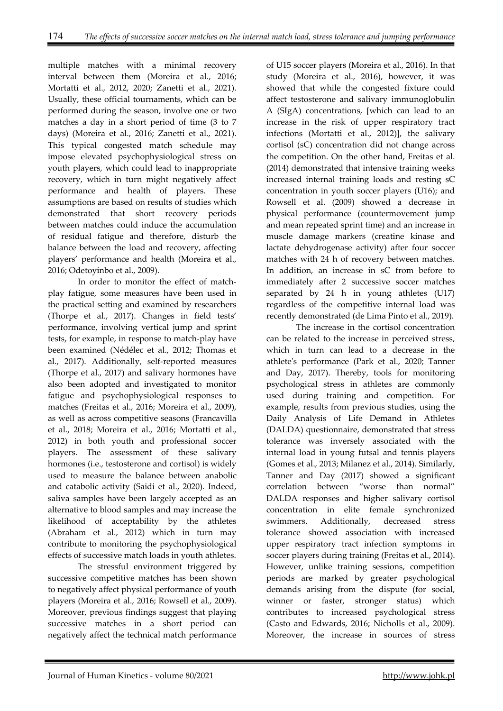multiple matches with a minimal recovery interval between them (Moreira et al., 2016; Mortatti et al., 2012, 2020; Zanetti et al., 2021). Usually, these official tournaments, which can be performed during the season, involve one or two matches a day in a short period of time (3 to 7 days) (Moreira et al., 2016; Zanetti et al., 2021). This typical congested match schedule may impose elevated psychophysiological stress on youth players, which could lead to inappropriate recovery, which in turn might negatively affect performance and health of players. These assumptions are based on results of studies which demonstrated that short recovery periods between matches could induce the accumulation of residual fatigue and therefore, disturb the balance between the load and recovery, affecting players' performance and health (Moreira et al., 2016; Odetoyinbo et al., 2009).

In order to monitor the effect of matchplay fatigue, some measures have been used in the practical setting and examined by researchers (Thorpe et al., 2017). Changes in field tests' performance, involving vertical jump and sprint tests, for example, in response to match-play have been examined (Nédélec et al., 2012; Thomas et al., 2017). Additionally, self-reported measures (Thorpe et al., 2017) and salivary hormones have also been adopted and investigated to monitor fatigue and psychophysiological responses to matches (Freitas et al., 2016; Moreira et al., 2009), as well as across competitive seasons (Francavilla et al., 2018; Moreira et al., 2016; Mortatti et al., 2012) in both youth and professional soccer players. The assessment of these salivary hormones (i.e., testosterone and cortisol) is widely used to measure the balance between anabolic and catabolic activity (Saidi et al., 2020). Indeed, saliva samples have been largely accepted as an alternative to blood samples and may increase the likelihood of acceptability by the athletes (Abraham et al., 2012) which in turn may contribute to monitoring the psychophysiological effects of successive match loads in youth athletes.

The stressful environment triggered by successive competitive matches has been shown to negatively affect physical performance of youth players (Moreira et al., 2016; Rowsell et al., 2009). Moreover, previous findings suggest that playing successive matches in a short period can negatively affect the technical match performance

of U15 soccer players (Moreira et al., 2016). In that study (Moreira et al., 2016), however, it was showed that while the congested fixture could affect testosterone and salivary immunoglobulin A (SIgA) concentrations, [which can lead to an increase in the risk of upper respiratory tract infections (Mortatti et al., 2012)], the salivary cortisol (sC) concentration did not change across the competition. On the other hand, Freitas et al. (2014) demonstrated that intensive training weeks increased internal training loads and resting sC concentration in youth soccer players (U16); and Rowsell et al. (2009) showed a decrease in physical performance (countermovement jump and mean repeated sprint time) and an increase in muscle damage markers (creatine kinase and lactate dehydrogenase activity) after four soccer matches with 24 h of recovery between matches. In addition, an increase in sC from before to immediately after 2 successive soccer matches separated by 24 h in young athletes (U17) regardless of the competitive internal load was recently demonstrated (de Lima Pinto et al., 2019).

The increase in the cortisol concentration can be related to the increase in perceived stress, which in turn can lead to a decrease in the athlete's performance (Park et al., 2020; Tanner and Day, 2017). Thereby, tools for monitoring psychological stress in athletes are commonly used during training and competition. For example, results from previous studies, using the Daily Analysis of Life Demand in Athletes (DALDA) questionnaire, demonstrated that stress tolerance was inversely associated with the internal load in young futsal and tennis players (Gomes et al., 2013; Milanez et al., 2014). Similarly, Tanner and Day (2017) showed a significant correlation between "worse than normal" DALDA responses and higher salivary cortisol concentration in elite female synchronized swimmers. Additionally, decreased stress tolerance showed association with increased upper respiratory tract infection symptoms in soccer players during training (Freitas et al., 2014). However, unlike training sessions, competition periods are marked by greater psychological demands arising from the dispute (for social, winner or faster, stronger status) which contributes to increased psychological stress (Casto and Edwards, 2016; Nicholls et al., 2009). Moreover, the increase in sources of stress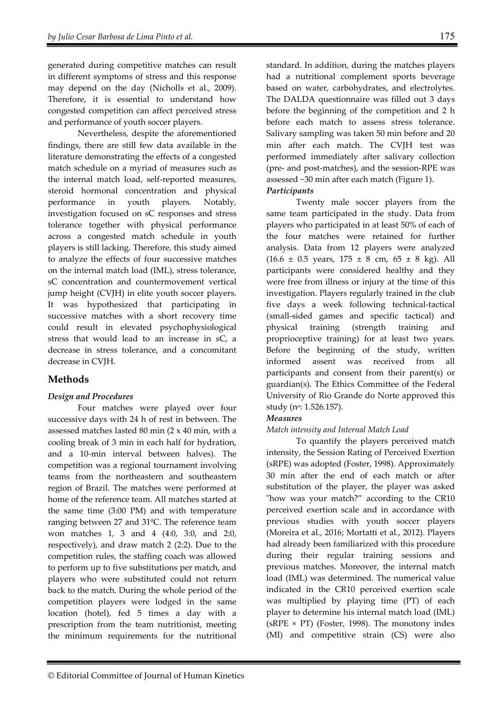generated during competitive matches can result in different symptoms of stress and this response may depend on the day (Nicholls et al., 2009). Therefore, it is essential to understand how congested competition can affect perceived stress and performance of youth soccer players.

Nevertheless, despite the aforementioned findings, there are still few data available in the literature demonstrating the effects of a congested match schedule on a myriad of measures such as the internal match load, self-reported measures, steroid hormonal concentration and physical performance in youth players. Notably, investigation focused on sC responses and stress tolerance together with physical performance across a congested match schedule in youth players is still lacking. Therefore, this study aimed to analyze the effects of four successive matches on the internal match load (IML), stress tolerance, sC concentration and countermovement vertical jump height (CVJH) in elite youth soccer players. It was hypothesized that participating in successive matches with a short recovery time could result in elevated psychophysiological stress that would lead to an increase in sC, a decrease in stress tolerance, and a concomitant decrease in CVJH.

# **Methods**

# *Design and Procedures*

Four matches were played over four successive days with 24 h of rest in between. The assessed matches lasted 80 min (2 x 40 min, with a cooling break of 3 min in each half for hydration, and a 10-min interval between halves). The competition was a regional tournament involving teams from the northeastern and southeastern region of Brazil. The matches were performed at home of the reference team. All matches started at the same time (3:00 PM) and with temperature ranging between 27 and 31ºC. The reference team won matches 1, 3 and 4 (4:0, 3:0, and 2:0, respectively), and draw match 2 (2:2). Due to the competition rules, the staffing coach was allowed to perform up to five substitutions per match, and players who were substituted could not return back to the match. During the whole period of the competition players were lodged in the same location (hotel), fed 5 times a day with a prescription from the team nutritionist, meeting the minimum requirements for the nutritional standard. In addition, during the matches players had a nutritional complement sports beverage based on water, carbohydrates, and electrolytes. The DALDA questionnaire was filled out 3 days before the beginning of the competition and 2 h before each match to assess stress tolerance. Salivary sampling was taken 50 min before and 20 min after each match. The CVJH test was performed immediately after salivary collection (pre- and post-matches), and the session-RPE was assessed ~30 min after each match (Figure 1). *Participants* 

Twenty male soccer players from the same team participated in the study. Data from players who participated in at least 50% of each of the four matches were retained for further analysis. Data from 12 players were analyzed  $(16.6 \pm 0.5 \text{ years}, 175 \pm 8 \text{ cm}, 65 \pm 8 \text{ kg}).$  All participants were considered healthy and they were free from illness or injury at the time of this investigation. Players regularly trained in the club five days a week following technical-tactical (small-sided games and specific tactical) and physical training (strength training and proprioceptive training) for at least two years. Before the beginning of the study, written informed assent was received from all participants and consent from their parent(s) or guardian(s). The Ethics Committee of the Federal University of Rio Grande do Norte approved this study (n<sup>o</sup>: 1.526.157).

# *Measures*

# *Match intensity and Internal Match Load*

To quantify the players perceived match intensity, the Session Rating of Perceived Exertion (sRPE) was adopted (Foster, 1998). Approximately 30 min after the end of each match or after substitution of the player, the player was asked "how was your match?" according to the CR10 perceived exertion scale and in accordance with previous studies with youth soccer players (Moreira et al., 2016; Mortatti et al., 2012). Players had already been familiarized with this procedure during their regular training sessions and previous matches. Moreover, the internal match load (IML) was determined. The numerical value indicated in the CR10 perceived exertion scale was multiplied by playing time (PT) of each player to determine his internal match load (IML)  $(sRPE \times PT)$  (Foster, 1998). The monotony index (MI) and competitive strain (CS) were also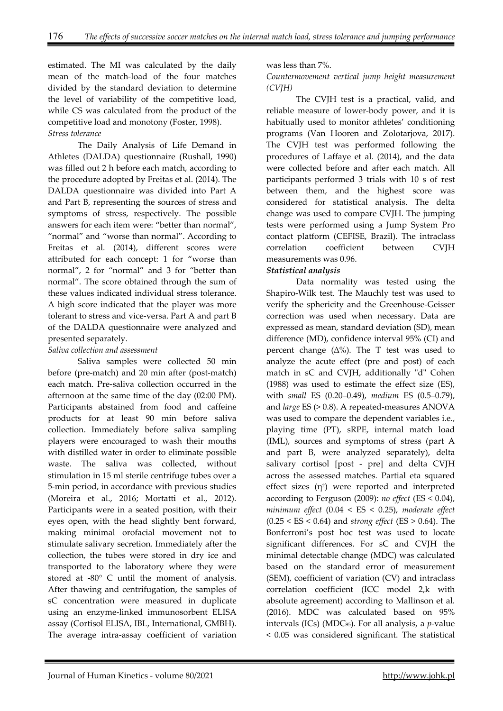estimated. The MI was calculated by the daily mean of the match-load of the four matches divided by the standard deviation to determine the level of variability of the competitive load, while CS was calculated from the product of the competitive load and monotony (Foster, 1998). *Stress tolerance* 

The Daily Analysis of Life Demand in Athletes (DALDA) questionnaire (Rushall, 1990) was filled out 2 h before each match, according to the procedure adopted by Freitas et al. (2014). The DALDA questionnaire was divided into Part A and Part B, representing the sources of stress and symptoms of stress, respectively. The possible answers for each item were: "better than normal", "normal" and "worse than normal". According to Freitas et al. (2014), different scores were attributed for each concept: 1 for "worse than normal", 2 for "normal" and 3 for "better than normal". The score obtained through the sum of these values indicated individual stress tolerance. A high score indicated that the player was more tolerant to stress and vice-versa. Part A and part B of the DALDA questionnaire were analyzed and presented separately.

### *Saliva collection and assessment*

Saliva samples were collected 50 min before (pre-match) and 20 min after (post-match) each match. Pre-saliva collection occurred in the afternoon at the same time of the day (02:00 PM). Participants abstained from food and caffeine products for at least 90 min before saliva collection. Immediately before saliva sampling players were encouraged to wash their mouths with distilled water in order to eliminate possible waste. The saliva was collected, without stimulation in 15 ml sterile centrifuge tubes over a 5-min period, in accordance with previous studies (Moreira et al., 2016; Mortatti et al., 2012). Participants were in a seated position, with their eyes open, with the head slightly bent forward, making minimal orofacial movement not to stimulate salivary secretion. Immediately after the collection, the tubes were stored in dry ice and transported to the laboratory where they were stored at -80° C until the moment of analysis. After thawing and centrifugation, the samples of sC concentration were measured in duplicate using an enzyme-linked immunosorbent ELISA assay (Cortisol ELISA, IBL, International, GMBH). The average intra-assay coefficient of variation

### was less than 7%.

### *Countermovement vertical jump height measurement (CVJH)*

The CVJH test is a practical, valid, and reliable measure of lower-body power, and it is habitually used to monitor athletes' conditioning programs (Van Hooren and Zolotarjova, 2017). The CVJH test was performed following the procedures of Laffaye et al. (2014), and the data were collected before and after each match. All participants performed 3 trials with 10 s of rest between them, and the highest score was considered for statistical analysis. The delta change was used to compare CVJH. The jumping tests were performed using a Jump System Pro contact platform (CEFISE, Brazil). The intraclass correlation coefficient between CVJH measurements was 0.96.

### *Statistical analysis*

Data normality was tested using the Shapiro-Wilk test. The Mauchly test was used to verify the sphericity and the Greenhouse-Geisser correction was used when necessary. Data are expressed as mean, standard deviation (SD), mean difference (MD), confidence interval 95% (CI) and percent change  $(\Delta\%)$ . The T test was used to analyze the acute effect (pre and post) of each match in sC and CVJH, additionally "d" Cohen (1988) was used to estimate the effect size (ES), with *small* ES (0.20–0.49), *medium* ES (0.5–0.79), and *large* ES (> 0.8). A repeated-measures ANOVA was used to compare the dependent variables i.e., playing time (PT), sRPE, internal match load (IML), sources and symptoms of stress (part A and part B, were analyzed separately), delta salivary cortisol [post - pre] and delta CVJH across the assessed matches. Partial eta squared effect sizes  $(n^2)$  were reported and interpreted according to Ferguson (2009): *no effect* (ES < 0.04), *minimum effect* (0.04 < ES < 0.25), *moderate effect* (0.25 < ES < 0.64) and *strong effect* (ES > 0.64). The Bonferroni's post hoc test was used to locate significant differences. For sC and CVJH the minimal detectable change (MDC) was calculated based on the standard error of measurement (SEM), coefficient of variation (CV) and intraclass correlation coefficient (ICC model 2,k with absolute agreement) according to Mallinson et al. (2016). MDC was calculated based on 95% intervals (ICs) (MDC95). For all analysis, a *p*-value < 0.05 was considered significant. The statistical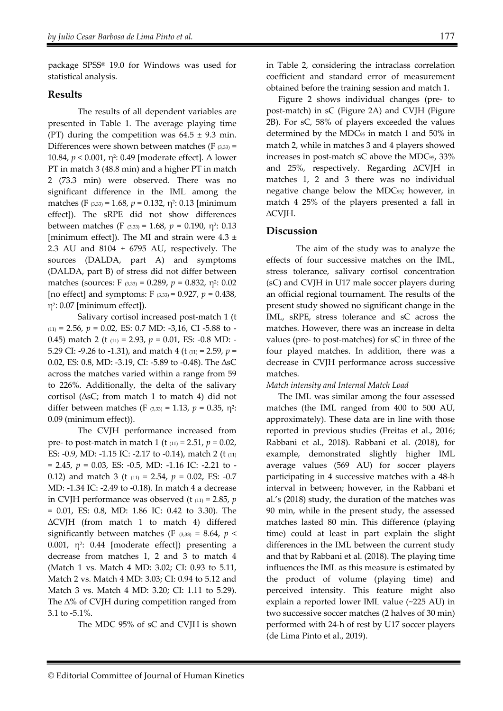package SPSS® 19.0 for Windows was used for statistical analysis.

#### **Results**

The results of all dependent variables are presented in Table 1. The average playing time (PT) during the competition was  $64.5 \pm 9.3$  min. Differences were shown between matches ( $F_{(3,33)} =$ 10.84, *p* < 0.001, η2: 0.49 [moderate effect]. A lower PT in match 3 (48.8 min) and a higher PT in match 2 (73.3 min) were observed. There was no significant difference in the IML among the matches (F  $(3,33)$  = 1.68,  $p = 0.132$ ,  $\eta^2$ : 0.13 [minimum effect]). The sRPE did not show differences between matches (F (3,33) = 1.68,  $p = 0.190$ , η<sup>2</sup>: 0.13 [minimum effect]). The MI and strain were  $4.3 \pm$ 2.3 AU and  $8104 \pm 6795$  AU, respectively. The sources (DALDA, part A) and symptoms (DALDA, part B) of stress did not differ between matches (sources: F (3,33) = 0.289, *p* = 0.832, η2: 0.02 [no effect] and symptoms: F (3,33) = 0.927, *p* = 0.438, η2: 0.07 [minimum effect]).

 Salivary cortisol increased post-match 1 (t  $(11) = 2.56$ ,  $p = 0.02$ , ES: 0.7 MD: -3,16, CI -5.88 to -0.45) match 2 (t (11) = 2.93, *p* = 0.01, ES: -0.8 MD: - 5.29 CI: -9.26 to -1.31), and match 4 (t (11) = 2.59, *p* = 0.02, ES: 0.8, MD: -3.19, CI: -5.89 to -0.48). The ∆sC across the matches varied within a range from 59 to 226%. Additionally, the delta of the salivary cortisol (∆sC; from match 1 to match 4) did not differ between matches (F (3,33) = 1.13,  $p = 0.35$ ,  $\eta^2$ : 0.09 (minimum effect)).

The CVJH performance increased from pre- to post-match in match 1 (t (11) = 2.51, *p* = 0.02, ES: -0.9, MD: -1.15 IC: -2.17 to -0.14), match 2 (t (11) = 2.45, *p* = 0.03, ES: -0.5, MD: -1.16 IC: -2.21 to - 0.12) and match 3 (t (11) = 2.54, *p* = 0.02, ES: -0.7 MD: -1.34 IC: -2.49 to -0.18). In match 4 a decrease in CVJH performance was observed (t  $(11) = 2.85$ , *p* = 0.01, ES: 0.8, MD: 1.86 IC: 0.42 to 3.30). The ∆CVJH (from match 1 to match 4) differed significantly between matches (F  $(3,33) = 8.64$ ,  $p <$ 0.001, η2: 0.44 [moderate effect]) presenting a decrease from matches 1, 2 and 3 to match 4 (Match 1 vs. Match 4 MD: 3.02; CI: 0.93 to 5.11, Match 2 vs. Match 4 MD: 3.03; CI: 0.94 to 5.12 and Match 3 vs. Match 4 MD: 3.20; CI: 1.11 to 5.29). The ∆% of CVJH during competition ranged from 3.1 to -5.1%.

The MDC 95% of sC and CVJH is shown

in Table 2, considering the intraclass correlation coefficient and standard error of measurement obtained before the training session and match 1.

Figure 2 shows individual changes (pre- to post-match) in sC (Figure 2A) and CVJH (Figure 2B). For sC, 58% of players exceeded the values determined by the MDC95 in match 1 and 50% in match 2, while in matches 3 and 4 players showed increases in post-match sC above the MDC95, 33% and 25%, respectively. Regarding ∆CVJH in matches 1, 2 and 3 there was no individual negative change below the MDC95; however, in match 4 25% of the players presented a fall in ∆CVJH.

## **Discussion**

The aim of the study was to analyze the effects of four successive matches on the IML, stress tolerance, salivary cortisol concentration (sC) and CVJH in U17 male soccer players during an official regional tournament. The results of the present study showed no significant change in the IML, sRPE, stress tolerance and sC across the matches. However, there was an increase in delta values (pre- to post-matches) for sC in three of the four played matches. In addition, there was a decrease in CVJH performance across successive matches.

*Match intensity and Internal Match Load* 

The IML was similar among the four assessed matches (the IML ranged from 400 to 500 AU, approximately). These data are in line with those reported in previous studies (Freitas et al., 2016; Rabbani et al., 2018). Rabbani et al. (2018), for example, demonstrated slightly higher IML average values (569 AU) for soccer players participating in 4 successive matches with a 48-h interval in between; however, in the Rabbani et al.'s (2018) study, the duration of the matches was 90 min, while in the present study, the assessed matches lasted 80 min. This difference (playing time) could at least in part explain the slight differences in the IML between the current study and that by Rabbani et al. (2018). The playing time influences the IML as this measure is estimated by the product of volume (playing time) and perceived intensity. This feature might also explain a reported lower IML value (~225 AU) in two successive soccer matches (2 halves of 30 min) performed with 24-h of rest by U17 soccer players (de Lima Pinto et al., 2019).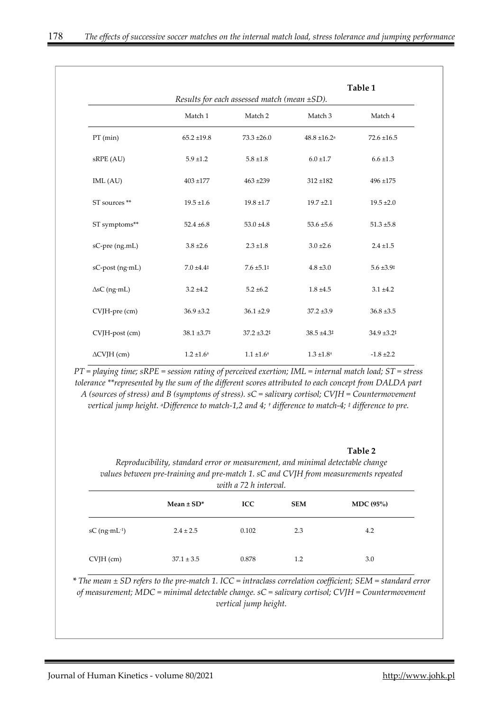|                     | Table 1<br>Results for each assessed match (mean $\pm SD$ ). |                           |                              |                           |  |
|---------------------|--------------------------------------------------------------|---------------------------|------------------------------|---------------------------|--|
|                     | Match 1                                                      | Match 2                   | Match 3                      | Match 4                   |  |
| $PT$ (min)          | $65.2 \pm 19.8$                                              | $73.3 \pm 26.0$           | $48.8 \pm 16.2$ <sup>a</sup> | $72.6 \pm 16.5$           |  |
| sRPE (AU)           | $5.9 \pm 1.2$                                                | $5.8 \pm 1.8$             | $6.0 \pm 1.7$                | $6.6 \pm 1.3$             |  |
| IML (AU)            | $403 + 177$                                                  | $463 + 239$               | $312 + 182$                  | $496 + 175$               |  |
| ST sources **       | $19.5 \pm 1.6$                                               | $19.8 \pm 1.7$            | $19.7 \pm 2.1$               | $19.5 \pm 2.0$            |  |
| ST symptoms**       | $52.4 \pm 6.8$                                               | $53.0 \pm 4.8$            | $53.6 \pm 5.6$               | $51.3 \pm 5.8$            |  |
| sC-pre (ng.mL)      | $3.8 \pm 2.6$                                                | $2.3 \pm 1.8$             | $3.0 \pm 2.6$                | $2.4 \pm 1.5$             |  |
| sC-post (ng·mL)     | $7.0 \pm 4.4^{\ddagger}$                                     | $7.6 \pm 5.1^{\ddagger}$  | $4.8 \pm 3.0$                | $5.6 \pm 3.9^{\ddagger}$  |  |
| $\Delta sC$ (ng·mL) | $3.2 + 4.2$                                                  | $5.2 \pm 6.2$             | $1.8 + 4.5$                  | $3.1 \pm 4.2$             |  |
| CVJH-pre (cm)       | $36.9 \pm 3.2$                                               | $36.1 \pm 2.9$            | $37.2 \pm 3.9$               | $36.8 \pm 3.5$            |  |
| CVJH-post (cm)      | 38.1 ±3.7 <sup>‡</sup>                                       | $37.2 \pm 3.2^{\ddagger}$ | $38.5 \pm 4.3^{\ddagger}$    | $34.9 \pm 3.2^{\ddagger}$ |  |
| $\Delta$ CVJH (cm)  | $1.2 \pm 1.6^+$                                              | $1.1 \pm 1.6^+$           | $1.3 \pm 1.8^+$              | $-1.8 \pm 2.2$            |  |

*PT = playing time; sRPE = session rating of perceived exertion; IML = internal match load; ST = stress tolerance \*\*represented by the sum of the different scores attributed to each concept from DALDA part A (sources of stress) and B (symptoms of stress). sC = salivary cortisol; CVJH = Countermovement vertical jump height. aDifference to match-1,2 and 4; † difference to match-4; ‡ difference to pre.* 

#### **Table 2**

*Reproducibility, standard error or measurement, and minimal detectable change values between pre-training and pre-match 1. sC and CVJH from measurements repeated with a 72 h interval.*

|                             | Mean $\pm$ SD* | <b>ICC</b> | <b>SEM</b> | MDC $(95\%)$ |
|-----------------------------|----------------|------------|------------|--------------|
| $sC$ (ng·mL <sup>-1</sup> ) | $2.4 \pm 2.5$  | 0.102      | 2.3        | 4.2          |
| $CVJH$ (cm)                 | $37.1 \pm 3.5$ | 0.878      | 1.2        | 3.0          |

*\* The mean ± SD refers to the pre-match 1. ICC = intraclass correlation coefficient; SEM = standard error of measurement; MDC = minimal detectable change. sC = salivary cortisol; CVJH = Countermovement vertical jump height.*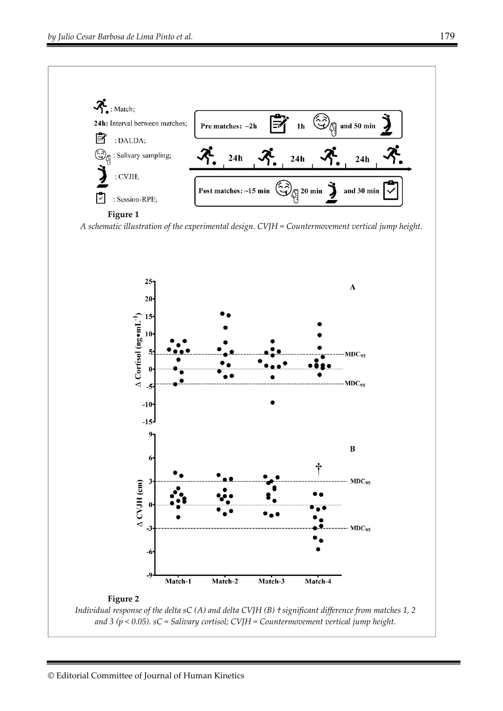

#### **Figure 1**

*A schematic illustration of the experimental design. CVJH = Countermovement vertical jump height.* 

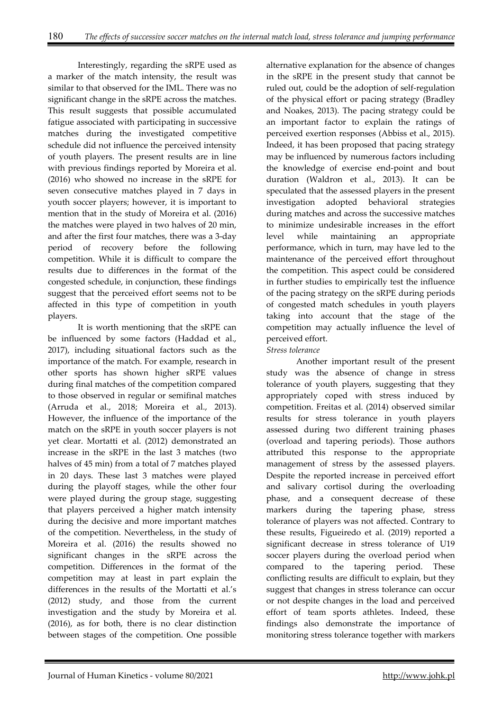Interestingly, regarding the sRPE used as a marker of the match intensity, the result was similar to that observed for the IML. There was no significant change in the sRPE across the matches. This result suggests that possible accumulated fatigue associated with participating in successive matches during the investigated competitive schedule did not influence the perceived intensity of youth players. The present results are in line with previous findings reported by Moreira et al. (2016) who showed no increase in the sRPE for seven consecutive matches played in 7 days in youth soccer players; however, it is important to mention that in the study of Moreira et al. (2016) the matches were played in two halves of 20 min, and after the first four matches, there was a 3-day period of recovery before the following competition. While it is difficult to compare the results due to differences in the format of the congested schedule, in conjunction, these findings suggest that the perceived effort seems not to be affected in this type of competition in youth players.

It is worth mentioning that the sRPE can be influenced by some factors (Haddad et al., 2017), including situational factors such as the importance of the match. For example, research in other sports has shown higher sRPE values during final matches of the competition compared to those observed in regular or semifinal matches (Arruda et al., 2018; Moreira et al., 2013). However, the influence of the importance of the match on the sRPE in youth soccer players is not yet clear. Mortatti et al. (2012) demonstrated an increase in the sRPE in the last 3 matches (two halves of 45 min) from a total of 7 matches played in 20 days. These last 3 matches were played during the playoff stages, while the other four were played during the group stage, suggesting that players perceived a higher match intensity during the decisive and more important matches of the competition. Nevertheless, in the study of Moreira et al. (2016) the results showed no significant changes in the sRPE across the competition. Differences in the format of the competition may at least in part explain the differences in the results of the Mortatti et al.'s (2012) study, and those from the current investigation and the study by Moreira et al. (2016), as for both, there is no clear distinction between stages of the competition. One possible

alternative explanation for the absence of changes in the sRPE in the present study that cannot be ruled out, could be the adoption of self-regulation of the physical effort or pacing strategy (Bradley and Noakes, 2013). The pacing strategy could be an important factor to explain the ratings of perceived exertion responses (Abbiss et al., 2015). Indeed, it has been proposed that pacing strategy may be influenced by numerous factors including the knowledge of exercise end-point and bout duration (Waldron et al., 2013). It can be speculated that the assessed players in the present investigation adopted behavioral strategies during matches and across the successive matches to minimize undesirable increases in the effort level while maintaining an appropriate performance, which in turn, may have led to the maintenance of the perceived effort throughout the competition. This aspect could be considered in further studies to empirically test the influence of the pacing strategy on the sRPE during periods of congested match schedules in youth players taking into account that the stage of the competition may actually influence the level of perceived effort.

# *Stress tolerance*

Another important result of the present study was the absence of change in stress tolerance of youth players, suggesting that they appropriately coped with stress induced by competition. Freitas et al. (2014) observed similar results for stress tolerance in youth players assessed during two different training phases (overload and tapering periods). Those authors attributed this response to the appropriate management of stress by the assessed players. Despite the reported increase in perceived effort and salivary cortisol during the overloading phase, and a consequent decrease of these markers during the tapering phase, stress tolerance of players was not affected. Contrary to these results, Figueiredo et al. (2019) reported a significant decrease in stress tolerance of U19 soccer players during the overload period when compared to the tapering period. These conflicting results are difficult to explain, but they suggest that changes in stress tolerance can occur or not despite changes in the load and perceived effort of team sports athletes. Indeed, these findings also demonstrate the importance of monitoring stress tolerance together with markers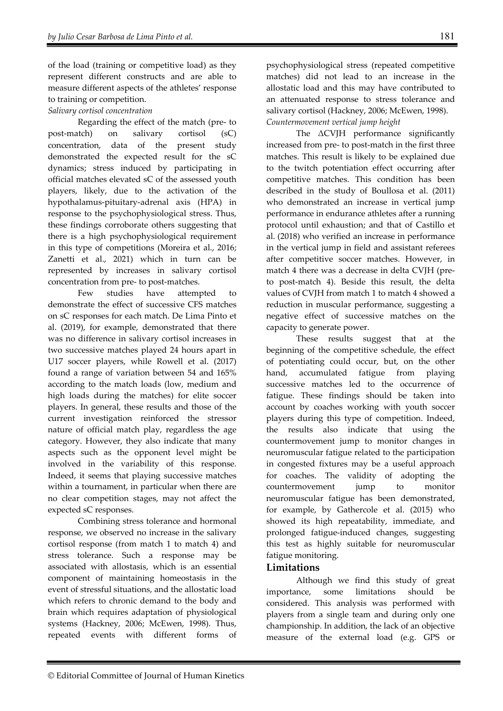of the load (training or competitive load) as they represent different constructs and are able to measure different aspects of the athletes' response to training or competition.

# *Salivary cortisol concentration*

Regarding the effect of the match (pre- to post-match) on salivary cortisol (sC) concentration, data of the present study demonstrated the expected result for the sC dynamics; stress induced by participating in official matches elevated sC of the assessed youth players, likely, due to the activation of the hypothalamus-pituitary-adrenal axis (HPA) in response to the psychophysiological stress. Thus, these findings corroborate others suggesting that there is a high psychophysiological requirement in this type of competitions (Moreira et al., 2016; Zanetti et al., 2021) which in turn can be represented by increases in salivary cortisol concentration from pre- to post-matches.

Few studies have attempted to demonstrate the effect of successive CFS matches on sC responses for each match. De Lima Pinto et al. (2019), for example, demonstrated that there was no difference in salivary cortisol increases in two successive matches played 24 hours apart in U17 soccer players, while Rowell et al. (2017) found a range of variation between 54 and 165% according to the match loads (low, medium and high loads during the matches) for elite soccer players. In general, these results and those of the current investigation reinforced the stressor nature of official match play, regardless the age category. However, they also indicate that many aspects such as the opponent level might be involved in the variability of this response. Indeed, it seems that playing successive matches within a tournament, in particular when there are no clear competition stages, may not affect the expected sC responses.

Combining stress tolerance and hormonal response, we observed no increase in the salivary cortisol response (from match 1 to match 4) and stress tolerance. Such a response may be associated with allostasis, which is an essential component of maintaining homeostasis in the event of stressful situations, and the allostatic load which refers to chronic demand to the body and brain which requires adaptation of physiological systems (Hackney, 2006; McEwen, 1998). Thus, repeated events with different forms of

psychophysiological stress (repeated competitive matches) did not lead to an increase in the allostatic load and this may have contributed to an attenuated response to stress tolerance and salivary cortisol (Hackney, 2006; McEwen, 1998). *Countermovement vertical jump height* 

The ΔCVJH performance significantly increased from pre- to post-match in the first three matches. This result is likely to be explained due to the twitch potentiation effect occurring after competitive matches. This condition has been described in the study of Boullosa et al. (2011) who demonstrated an increase in vertical jump performance in endurance athletes after a running protocol until exhaustion; and that of Castillo et al. (2018) who verified an increase in performance in the vertical jump in field and assistant referees after competitive soccer matches. However, in match 4 there was a decrease in delta CVJH (preto post-match 4). Beside this result, the delta values of CVJH from match 1 to match 4 showed a reduction in muscular performance, suggesting a negative effect of successive matches on the capacity to generate power.

These results suggest that at the beginning of the competitive schedule, the effect of potentiating could occur, but, on the other hand, accumulated fatigue from playing successive matches led to the occurrence of fatigue. These findings should be taken into account by coaches working with youth soccer players during this type of competition. Indeed, the results also indicate that using the countermovement jump to monitor changes in neuromuscular fatigue related to the participation in congested fixtures may be a useful approach for coaches. The validity of adopting the countermovement jump to monitor neuromuscular fatigue has been demonstrated, for example, by Gathercole et al. (2015) who showed its high repeatability, immediate, and prolonged fatigue-induced changes, suggesting this test as highly suitable for neuromuscular fatigue monitoring.

# **Limitations**

Although we find this study of great importance, some limitations should be considered. This analysis was performed with players from a single team and during only one championship. In addition, the lack of an objective measure of the external load (e.g. GPS or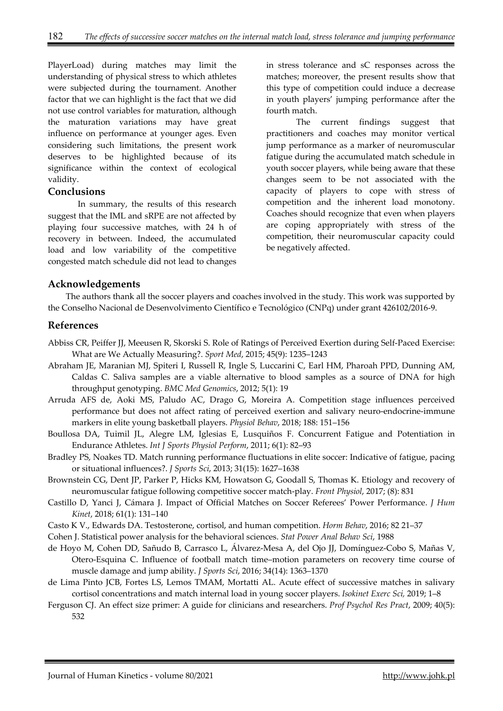PlayerLoad) during matches may limit the understanding of physical stress to which athletes were subjected during the tournament. Another factor that we can highlight is the fact that we did not use control variables for maturation, although the maturation variations may have great influence on performance at younger ages. Even considering such limitations, the present work deserves to be highlighted because of its significance within the context of ecological validity.

#### **Conclusions**

In summary, the results of this research suggest that the IML and sRPE are not affected by playing four successive matches, with 24 h of recovery in between. Indeed, the accumulated load and low variability of the competitive congested match schedule did not lead to changes

in stress tolerance and sC responses across the matches; moreover, the present results show that this type of competition could induce a decrease in youth players' jumping performance after the fourth match.

The current findings suggest that practitioners and coaches may monitor vertical jump performance as a marker of neuromuscular fatigue during the accumulated match schedule in youth soccer players, while being aware that these changes seem to be not associated with the capacity of players to cope with stress of competition and the inherent load monotony. Coaches should recognize that even when players are coping appropriately with stress of the competition, their neuromuscular capacity could be negatively affected.

# **Acknowledgements**

The authors thank all the soccer players and coaches involved in the study. This work was supported by the Conselho Nacional de Desenvolvimento Científico e Tecnológico (CNPq) under grant 426102/2016-9.

## **References**

- Abbiss CR, Peiffer JJ, Meeusen R, Skorski S. Role of Ratings of Perceived Exertion during Self-Paced Exercise: What are We Actually Measuring?. *Sport Med*, 2015; 45(9): 1235–1243
- Abraham JE, Maranian MJ, Spiteri I, Russell R, Ingle S, Luccarini C, Earl HM, Pharoah PPD, Dunning AM, Caldas C. Saliva samples are a viable alternative to blood samples as a source of DNA for high throughput genotyping. *BMC Med Genomics*, 2012; 5(1): 19
- Arruda AFS de, Aoki MS, Paludo AC, Drago G, Moreira A. Competition stage influences perceived performance but does not affect rating of perceived exertion and salivary neuro-endocrine-immune markers in elite young basketball players. *Physiol Behav*, 2018; 188: 151–156
- Boullosa DA, Tuimil JL, Alegre LM, Iglesias E, Lusquiños F. Concurrent Fatigue and Potentiation in Endurance Athletes. *Int J Sports Physiol Perform*, 2011; 6(1): 82–93
- Bradley PS, Noakes TD. Match running performance fluctuations in elite soccer: Indicative of fatigue, pacing or situational influences?. *J Sports Sci*, 2013; 31(15): 1627–1638
- Brownstein CG, Dent JP, Parker P, Hicks KM, Howatson G, Goodall S, Thomas K. Etiology and recovery of neuromuscular fatigue following competitive soccer match-play. *Front Physiol*, 2017; (8): 831
- Castillo D, Yanci J, Cámara J. Impact of Official Matches on Soccer Referees' Power Performance. *J Hum Kinet*, 2018; 61(1): 131–140
- Casto K V., Edwards DA. Testosterone, cortisol, and human competition. *Horm Behav*, 2016; 82 21–37
- Cohen J. Statistical power analysis for the behavioral sciences. *Stat Power Anal Behav Sci*, 1988
- de Hoyo M, Cohen DD, Sañudo B, Carrasco L, Álvarez-Mesa A, del Ojo JJ, Domínguez-Cobo S, Mañas V, Otero-Esquina C. Influence of football match time–motion parameters on recovery time course of muscle damage and jump ability. *J Sports Sci*, 2016; 34(14): 1363–1370
- de Lima Pinto JCB, Fortes LS, Lemos TMAM, Mortatti AL. Acute effect of successive matches in salivary cortisol concentrations and match internal load in young soccer players. *Isokinet Exerc Sci,* 2019; 1–8
- Ferguson CJ. An effect size primer: A guide for clinicians and researchers. *Prof Psychol Res Pract*, 2009; 40(5): 532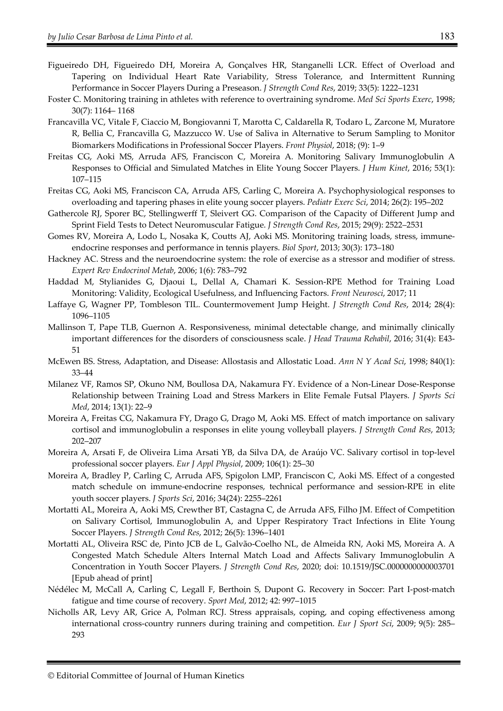- Figueiredo DH, Figueiredo DH, Moreira A, Gonçalves HR, Stanganelli LCR. Effect of Overload and Tapering on Individual Heart Rate Variability, Stress Tolerance, and Intermittent Running Performance in Soccer Players During a Preseason. *J Strength Cond Res*, 2019; 33(5): 1222–1231
- Foster C. Monitoring training in athletes with reference to overtraining syndrome. *Med Sci Sports Exerc*, 1998; 30(7): 1164– 1168
- Francavilla VC, Vitale F, Ciaccio M, Bongiovanni T, Marotta C, Caldarella R, Todaro L, Zarcone M, Muratore R, Bellia C, Francavilla G, Mazzucco W. Use of Saliva in Alternative to Serum Sampling to Monitor Biomarkers Modifications in Professional Soccer Players. *Front Physiol*, 2018; (9): 1–9
- Freitas CG, Aoki MS, Arruda AFS, Franciscon C, Moreira A. Monitoring Salivary Immunoglobulin A Responses to Official and Simulated Matches in Elite Young Soccer Players. *J Hum Kinet*, 2016; 53(1): 107–115
- Freitas CG, Aoki MS, Franciscon CA, Arruda AFS, Carling C, Moreira A. Psychophysiological responses to overloading and tapering phases in elite young soccer players. *Pediatr Exerc Sci*, 2014; 26(2): 195–202
- Gathercole RJ, Sporer BC, Stellingwerff T, Sleivert GG. Comparison of the Capacity of Different Jump and Sprint Field Tests to Detect Neuromuscular Fatigue. *J Strength Cond Res*, 2015; 29(9): 2522–2531
- Gomes RV, Moreira A, Lodo L, Nosaka K, Coutts AJ, Aoki MS. Monitoring training loads, stress, immuneendocrine responses and performance in tennis players. *Biol Sport*, 2013; 30(3): 173–180
- Hackney AC. Stress and the neuroendocrine system: the role of exercise as a stressor and modifier of stress. *Expert Rev Endocrinol Metab*, 2006; 1(6): 783–792
- Haddad M, Stylianides G, Djaoui L, Dellal A, Chamari K. Session-RPE Method for Training Load Monitoring: Validity, Ecological Usefulness, and Influencing Factors. *Front Neurosci*, 2017; 11
- Laffaye G, Wagner PP, Tombleson TIL. Countermovement Jump Height. *J Strength Cond Res*, 2014; 28(4): 1096–1105
- Mallinson T, Pape TLB, Guernon A. Responsiveness, minimal detectable change, and minimally clinically important differences for the disorders of consciousness scale. *J Head Trauma Rehabil*, 2016; 31(4): E43- 51
- McEwen BS. Stress, Adaptation, and Disease: Allostasis and Allostatic Load. *Ann N Y Acad Sci*, 1998; 840(1): 33–44
- Milanez VF, Ramos SP, Okuno NM, Boullosa DA, Nakamura FY. Evidence of a Non-Linear Dose-Response Relationship between Training Load and Stress Markers in Elite Female Futsal Players. *J Sports Sci Med*, 2014; 13(1): 22–9
- Moreira A, Freitas CG, Nakamura FY, Drago G, Drago M, Aoki MS. Effect of match importance on salivary cortisol and immunoglobulin a responses in elite young volleyball players. *J Strength Cond Res*, 2013; 202–207
- Moreira A, Arsati F, de Oliveira Lima Arsati YB, da Silva DA, de Araújo VC. Salivary cortisol in top-level professional soccer players. *Eur J Appl Physiol*, 2009; 106(1): 25–30
- Moreira A, Bradley P, Carling C, Arruda AFS, Spigolon LMP, Franciscon C, Aoki MS. Effect of a congested match schedule on immune-endocrine responses, technical performance and session-RPE in elite youth soccer players. *J Sports Sci*, 2016; 34(24): 2255–2261
- Mortatti AL, Moreira A, Aoki MS, Crewther BT, Castagna C, de Arruda AFS, Filho JM. Effect of Competition on Salivary Cortisol, Immunoglobulin A, and Upper Respiratory Tract Infections in Elite Young Soccer Players. *J Strength Cond Res*, 2012; 26(5): 1396–1401
- Mortatti AL, Oliveira RSC de, Pinto JCB de L, Galvão-Coelho NL, de Almeida RN, Aoki MS, Moreira A. A Congested Match Schedule Alters Internal Match Load and Affects Salivary Immunoglobulin A Concentration in Youth Soccer Players. *J Strength Cond Res*, 2020; doi: 10.1519/JSC.0000000000003701 [Epub ahead of print]
- Nédélec M, McCall A, Carling C, Legall F, Berthoin S, Dupont G. Recovery in Soccer: Part I-post-match fatigue and time course of recovery. *Sport Med*, 2012; 42: 997–1015
- Nicholls AR, Levy AR, Grice A, Polman RCJ. Stress appraisals, coping, and coping effectiveness among international cross-country runners during training and competition. *Eur J Sport Sci*, 2009; 9(5): 285– 293